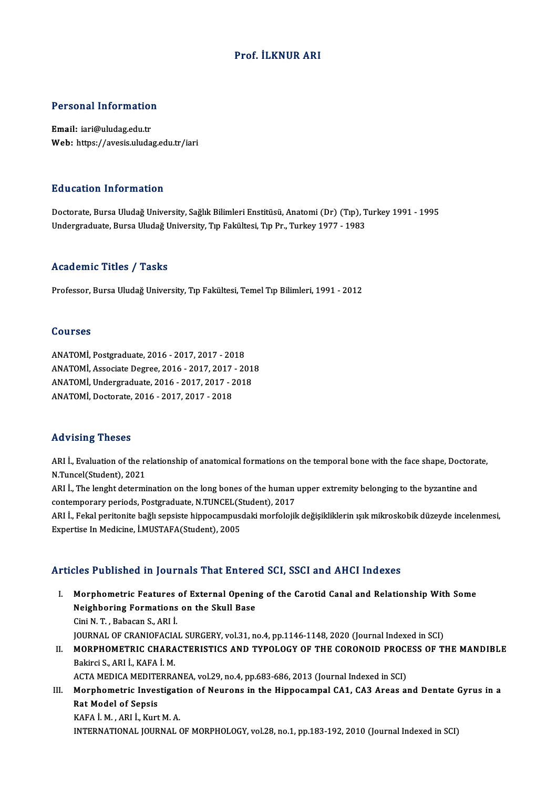# Prof. İLKNUR ARI

# Personal Information

Personal Information<br>Email: iari@uludag.edu.tr<br>Web: https://avesis.uluda Email: iari@uludag.edu.tr<br>Web: https://avesis.uludag.edu.tr/iari

## Education Information

<mark>Education Information</mark><br>Doctorate, Bursa Uludağ University, Sağlık Bilimleri Enstitüsü, Anatomi (Dr) (Tıp), Turkey 1991 - 1995<br>Undersraduate Bursa Uludağ University, Tıp Fakültesi Tıp Br. Turkey 1977 - 1983 Luusutesi, Intes inuusen<br>Doctorate, Bursa Uludağ University, Sağlık Bilimleri Enstitüsü, Anatomi (Dr) (Tıp), T<br>Undergraduate, Bursa Uludağ University, Tıp Fakültesi, Tıp Pr., Turkey 1977 - 1983 Undergraduate, Bursa Uludağ University, Tıp Fakültesi, Tıp Pr., Turkey 1977 - 1983<br>Academic Titles / Tasks

Professor, Bursa Uludağ University, Tıp Fakültesi, Temel Tıp Bilimleri, 1991 - 2012

## Courses

ANATOMİ,Postgraduate,2016 -2017,2017 -2018 2021303<br>ANATOMİ, Postgraduate, 2016 - 2017, 2017 - 2018<br>ANATOMİ, Associate Degree, 2016 - 2017, 2017 - 2018<br>ANATOMİ, Undergraduate, 2016 - 2017, 2017, 2019 ANATOMİ, Postgraduate, 2016 - 2017, 2017 - 2018<br>ANATOMİ, Associate Degree, 2016 - 2017, 2017 - 201<br>ANATOMİ, Undergraduate, 2016 - 2017, 2017 - 2018<br>ANATOMİ, Dostarata, 2016 - 2017, 2017, 2019 ANATOMİ, Associate Degree, 2016 - 2017, 2017<br>ANATOMİ, Undergraduate, 2016 - 2017, 2017 - 2<br>ANATOMİ, Doctorate, 2016 - 2017, 2017 - 2018 ANATOMI, Doctorate, 2016 - 2017, 2017 - 2018<br>Advising Theses

Advising Theses<br>ARI İ., Evaluation of the relationship of anatomical formations on the temporal bone with the face shape, Doctorate,<br>N.Tungel(Student), 2021 ARI İ., Evaluation of the relationship of anatomical formations on the temporal bone with the face shape, Doctorat<br>N.Tuncel(Student), 2021<br>ARI İ., The lenght determination on the long bones of the human upper extremity bel

N.Tuncel(Student), 2021<br>ARI İ., The lenght determination on the long bones of the human upper extremity belonging to the byzantine and N.Tuncel(Student), 2021<br>ARI İ., The lenght determination on the long bones of the human<br>contemporary periods, Postgraduate, N.TUNCEL(Student), 2017<br>APLL, Felgl peritorite bağlı sensiste binnesampusdeki merfelejil

ARI İ., Fekal peritonite bağlı sepsiste hippocampusdaki morfolojik değişikliklerin ışık mikroskobik düzeyde incelenmesi,<br>Expertise In Medicine, İ.MUSTAFA(Student), 2005 contemporary periods, Postgraduate, N.TUNCEL(S<br>ARI İ., Fekal peritonite bağlı sepsiste hippocampuse<br>Expertise In Medicine, İ.MUSTAFA(Student), 2005

## Articles Published in Journals That Entered SCI, SSCI and AHCI Indexes

I. Morphometric Features of External Opening of the Carotid Canal and RelationshipWith Some Neighboring Formations Indiansies<br>Norphometric Features of External Openin<br>Neighboring Formations on the Skull Base Morphometric Features<br>Neighboring Formations<br>Cini N. T. , Babacan S., ARI İ.<br>JOUPNAL OF CRANIOFACIA Cini N. T. , Babacan S., ARI İ.<br>JOURNAL OF CRANIOFACIAL SURGERY, vol.31, no.4, pp.1146-1148, 2020 (Journal Indexed in SCI) Cini N. T. , Babacan S., ARI İ.<br>JOURNAL OF CRANIOFACIAL SURGERY, vol.31, no.4, pp.1146-1148, 2020 (Journal Indexed in SCI)<br>II. MORPHOMETRIC CHARACTERISTICS AND TYPOLOGY OF THE CORONOID PROCESS OF THE MANDIBLE<br>Pelingi S. AB **JOURNAL OF CRANIOFACIA<br>MORPHOMETRIC CHARA**<br>Bakirci S., ARI İ., KAFA İ. M.<br>ACTA MEDICA MEDITERRA MORPHOMETRIC CHARACTERISTICS AND TYPOLOGY OF THE CORONOID PROCH<br>Bakirci S., ARI İ., KAFA İ. M.<br>ACTA MEDICA MEDITERRANEA, vol.29, no.4, pp.683-686, 2013 (Journal Indexed in SCI)<br>Marnhamatria Investigation of Nourans in the Bakirci S., ARI İ., KAFA İ. M.<br>ACTA MEDICA MEDITERRANEA, vol.29, no.4, pp.683-686, 2013 (Journal Indexed in SCI)<br>III. Morphometric Investigation of Neurons in the Hippocampal CA1, CA3 Areas and Dentate Gyrus in a<br>Ret M

ACTA MEDICA MEDITE<br>Morphometric Inves<br>Rat Model of Sepsis<br>KAEA LM ABLL Kunt Morphometric Investigati<br>Rat Model of Sepsis<br>KAFA İ. M. , ARI İ., Kurt M. A.<br>INTERMATIONAL JOURNAL ( Rat Model of Sepsis<br>KAFA İ. M. , ARI İ., Kurt M. A.<br>INTERNATIONAL JOURNAL OF MORPHOLOGY, vol.28, no.1, pp.183-192, 2010 (Journal Indexed in SCI)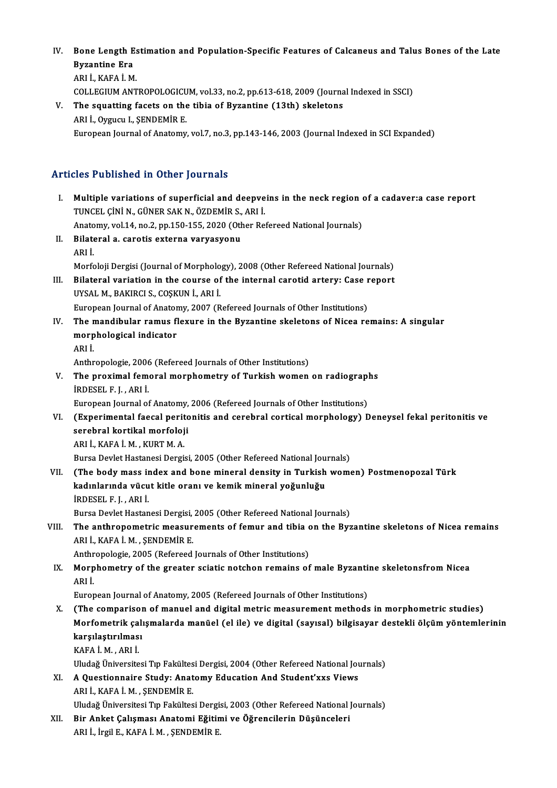- IV. Bone Length Estimation and Population-Specific Features of Calcaneus and Talus Bones of the Late **Bone Length E**<br>Byzantine Era<br>APLİ KAFA İM Byzantine Era<br>ARI İ., KAFA İ. M. Byzantine Era<br>ARI İ., KAFA İ. M.<br>COLLEGIUM ANTROPOLOGICUM, vol.33, no.2, pp.613-618, 2009 (Journal Indexed in SSCI)<br>The squetting facets on the tibio of Bygantine (13th) eksletens.
- V. The squatting facets on the tibia of Byzantine (13th) skeletons<br>ARI İ., Oygucu I., ŞENDEMİR E. COLLEGIUM ANTROPOLOGICU<br>The squatting facets on the<br>ARI İ., Oygucu I., ŞENDEMİR E.<br>European Journal of Anatomu European Journal of Anatomy, vol.7, no.3, pp.143-146, 2003 (Journal Indexed in SCI Expanded)

# Articles Published in Other Journals

- I. Multiple variations of superficial and deepveins in the neck region of a cadaver:a case report<br>I. Multiple variations of superficial and deepveins in the neck region of a cadaver:a case report<br>TIMCEL CINUM CÜNER SAK N. Multiple variations of superficial and deepve<br>TUNCEL ÇİNİ N., GÜNER SAK N., ÖZDEMİR S., ARI İ.<br>Anatomy vel 14. no 3. nn 150.155. 3030 (Other Be Multiple variations of superficial and deepveins in the neck region of the Technic Numero Considersity and The<br>Anatomy, vol.14, no.2, pp.150-155, 2020 (Other Refereed National Journals)<br>Pilatoral a canatia ay tanna yanyagy TUNCEL ÇİNİ N., GÜNER SAK N., ÖZDEMİR S., ARI İ.<br>Anatomy, vol.14, no.2, pp.150-155, 2020 (Other Ref<br>II. Bilateral a. carotis externa varyasyonu<br>ARI İ. Anatomy, vol.14, no.2, pp.150-155, 2020 (Other Refereed National Journals) Bilateral a. carotis externa varyasyonu<br>ARI İ.<br>Morfoloji Dergisi (Journal of Morphology), 2008 (Other Refereed National Journals)<br>Bilateral veriation in the source of the internal saretid ertery: Gese report ARI İ.<br>Morfoloji Dergisi (Journal of Morphology), 2008 (Other Refereed National Journals)<br>III. Bilateral variation in the course of the internal carotid artery: Case report<br>IIVSAL M. BAKIRCLS, COSKUN İ. ARLİ Morfoloji Dergisi (Journal of Morpholo<br>Bilateral variation in the course of<br>UYSAL M., BAKIRCI S., COŞKUN İ., ARI İ.<br>European Journal of Anatomu, 2007 (B Bilateral variation in the course of the internal carotid artery: Case represent Anatomy, 2007 (Refereed Journals of Other Institutions)<br>European Journal of Anatomy, 2007 (Refereed Journals of Other Institutions)<br>The mandi UYSAL M., BAKIRCI S., COŞKUN İ., ARI İ.<br>European Journal of Anatomy, 2007 (Refereed Journals of Other Institutions)<br>IV. The mandibular ramus flexure in the Byzantine skeletons of Nicea remains: A singular<br>manphalagical ind European Journal of Anatomy, 2007 (Refereed Journals of Other Institutions)<br>The mandibular ramus flexure in the Byzantine skeletons of Nicea re<br>morphological indicator<br>ARI İ. The r<br>morp<br>ARI İ.<br>Arthr morphological indicator<br>ARI İ.<br>Anthropologie, 2006 (Refereed Journals of Other Institutions)<br>The previmal femeral mernhemetry of Turkish wemen V. The proximal femoral morphometry of Turkish women on radiographs<br>IRDESEL F. I., ARI I. Anthropologie, 2006<br>The proximal femi<br>İRDESEL F. J. , ARI İ.<br>European Journal et The proximal femoral morphometry of Turkish women on radiograpl<br>IRDESEL F. J. , ARI I.<br>European Journal of Anatomy, 2006 (Refereed Journals of Other Institutions)<br>(Europimental faceal portionitis and carabral cortical morp VI. (Experimental faecal peritonitis and cerebral corticalmorphology) Deneysel fekal peritonitis ve European Journal of Anatomy,<br>(Experimental faecal perito<br>serebral kortikal morfoloji<br>APLI KAFA I M. KUPT M.A ARI İ.,KAFAİ.M. ,KURTM.A. Bursa Devlet Hastanesi Dergisi, 2005 (Other Refereed National Journals) VII. (The body mass index and bone mineral density in Turkish women) Postmenopozal Türk Bursa Devlet Hastanesi Dergisi, 2005 (Other Refereed National Jou<br>(The body mass index and bone mineral density in Turkish<br>kadınlarında vücut kitle oranı ve kemik mineral yoğunluğu<br>inneseu e L. Apti (The body mass in<br>kadınlarında vücu<br>İRDESEL F. J. , ARI İ.<br>Bursa Davlat Hastan İRDESEL F. J. , ARI İ.<br>Bursa Devlet Hastanesi Dergisi, 2005 (Other Refereed National Journals) IRDESEL F. J. , ARI I.<br>Bursa Devlet Hastanesi Dergisi, 2005 (Other Refereed National Journals)<br>VIII. The anthropometric measurements of femur and tibia on the Byzantine skeletons of Nicea remains<br>ARLI KAFA I M. SENDEMIR F Bursa Devlet Hastanesi Dergisi,<br>The anthropometric measur<br>ARI İ., KAFA İ. M. , ŞENDEMİR E.<br>Anthropologia 2005 (Bafareed The anthropometric measurements of femur and tibia c<br>ARI İ., KAFA İ. M. , ŞENDEMİR E.<br>Anthropologie, 2005 (Refereed Journals of Other Institutions)<br>Marnhametry of the greater scietie natchen remains of ARI İ., KAFA İ. M. , ŞENDEMİR E.<br>Anthropologie, 2005 (Refereed Journals of Other Institutions)<br>IX. Morphometry of the greater sciatic notchon remains of male Byzantine skeletonsfrom Nicea<br>APLİ Anthr<br>Morp<br>ARI İ.<br>Euror Morphometry of the greater sciatic notchon remains of male Byzanti<br>ARI İ.<br>European Journal of Anatomy, 2005 (Refereed Journals of Other Institutions)<br>(The composison of manuel and disitel metric messurement methods) ARI İ.<br>European Journal of Anatomy, 2005 (Refereed Journals of Other Institutions)<br>X. (The comparison of manuel and digital metric measurement methods in morphometric studies) European Journal of Anatomy, 2005 (Refereed Journals of Other Institutions)<br>(The comparison of manuel and digital metric measurement methods in morphometric studies)<br>Morfometrik çalışmalarda manüel (el ile) ve digital (say (The comparisor)<br>Morfometrik çalı<br>karşılaştırılması<br>KARAİM ABLİ Morfometrik ça<br>karşılaştırılmas<br>KAFA İ. M. , ARI İ.<br>Uludeğ Üniversite karşılaştırılması<br>KAFA İ. M. , ARI İ.<br>Uludağ Üniversitesi Tıp Fakültesi Dergisi, 2004 (Other Refereed National Journals) KAFA İ. M. , ARI İ.<br>Uludağ Üniversitesi Tıp Fakültesi Dergisi, 2004 (Other Refereed National Journal Journal Study: Anatomy Education And Student'xxs Views Uludağ Üniversitesi Tıp Fakültes<br>A Questionnaire Study: Anat<br>ARI İ., KAFA İ. M. , ŞENDEMİR E.<br>Uludağ Üniversitesi Tın Fakültes ARI İ., KAFA İ. M. , ŞENDEMİR E.<br>Uludağ Üniversitesi Tıp Fakültesi Dergisi, 2003 (Other Refereed National Journals) ARI İ., KAFA İ. M. , ŞENDEMİR E.<br>Uludağ Üniversitesi Tıp Fakültesi Dergisi, 2003 (Other Refereed National ]<br>XII. Bir Anket Çalışması Anatomi Eğitimi ve Öğrencilerin Düşünceleri<br>ARLİ İrgilE KAFA İ.M. SENDEMİR E Uludağ Üniversitesi Tıp Fakültesi Dergi:<br>Bir Anket Çalışması Anatomi Eğitin<br>ARI İ., İrgil E., KAFA İ. M. , ŞENDEMİR E.
	-